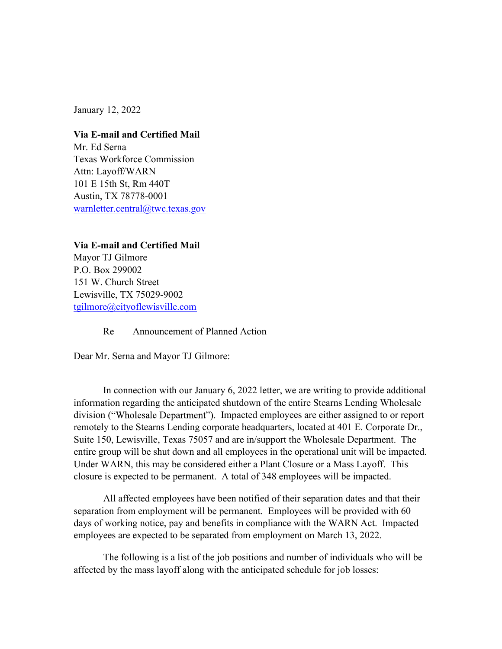January 12, 2022

Via E-mail and Certified Mail Mr. Ed Serna Texas Workforce Commission Attn: Layoff/WARN 101 E 15th St, Rm 440T Austin, TX 78778-0001 warnletter.central@twc.texas.gov

Via E-mail and Certified Mail Mayor TJ Gilmore P.O. Box 299002 151 W. Church Street Lewisville, TX 75029-9002 tgilmore@cityoflewisville.com

Re Announcement of Planned Action

Dear Mr. Serna and Mayor TJ Gilmore:

In connection with our January 6, 2022 letter, we are writing to provide additional information regarding the anticipated shutdown of the entire Stearns Lending Wholesale division ("Wholesale Department"). Impacted employees are either assigned to or report remotely to the Stearns Lending corporate headquarters, located at 401 E. Corporate Dr., Suite 150, Lewisville, Texas 75057 and are in/support the Wholesale Department. The entire group will be shut down and all employees in the operational unit will be impacted. Under WARN, this may be considered either a Plant Closure or a Mass Layoff. This closure is expected to be permanent. A total of 348 employees will be impacted.

All affected employees have been notified of their separation dates and that their separation from employment will be permanent. Employees will be provided with 60 days of working notice, pay and benefits in compliance with the WARN Act. Impacted employees are expected to be separated from employment on March 13, 2022.

The following is a list of the job positions and number of individuals who will be affected by the mass layoff along with the anticipated schedule for job losses: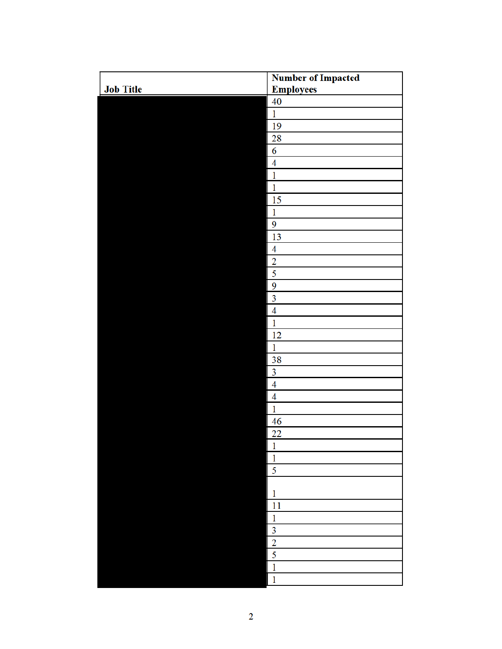|                  | <b>Number of Impacted</b> |
|------------------|---------------------------|
| <b>Job Title</b> | <b>Employees</b>          |
|                  | 40                        |
|                  | $\mathbf 1$               |
|                  | 19                        |
|                  | 28                        |
|                  | 6                         |
|                  | $\overline{\mathbf{4}}$   |
|                  | $\mathbf{1}$              |
|                  | $\mathbf{1}$              |
|                  | 15                        |
|                  | $\mathbf{1}$              |
|                  | 9                         |
|                  | 13                        |
|                  | $\overline{4}$            |
|                  | $\overline{2}$            |
|                  | 5                         |
|                  | 9                         |
|                  | $\overline{\mathbf{3}}$   |
|                  | $\overline{4}$            |
|                  | $\mathbf{1}$              |
|                  | 12                        |
|                  | $\mathbf{1}$              |
|                  | 38                        |
|                  | $\overline{\mathbf{3}}$   |
|                  | $\overline{4}$            |
|                  | $\overline{4}$            |
|                  | $\mathbf{1}$              |
|                  | 46                        |
|                  | 22                        |
|                  | $\overline{1}$            |
|                  | $\overline{1}$            |
|                  | 5                         |
|                  |                           |
|                  | $\mathbf{1}$              |
|                  | $\overline{11}$           |
|                  | $\mathbf{1}$              |
|                  | $\overline{3}$            |
|                  | $\overline{2}$            |
|                  | $\overline{\mathbf{5}}$   |
|                  | $\overline{1}$            |
|                  | $\overline{1}$            |